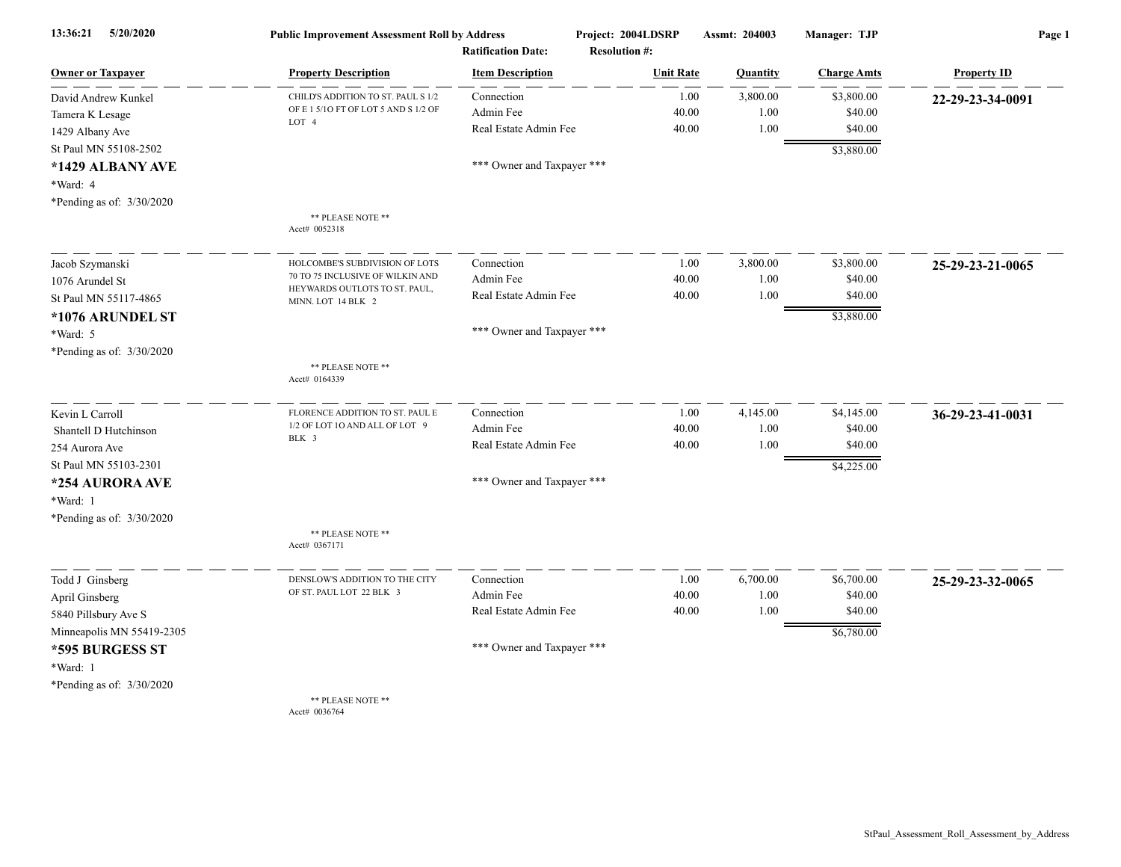| 5/20/2020<br>13:36:21<br><b>Owner or Taxpayer</b> | <b>Public Improvement Assessment Roll by Address</b>               |                                                      | Project: 2004LDSRP                       | Assmt: 204003 | Manager: TJP       | Page 1             |
|---------------------------------------------------|--------------------------------------------------------------------|------------------------------------------------------|------------------------------------------|---------------|--------------------|--------------------|
|                                                   | <b>Property Description</b>                                        | <b>Ratification Date:</b><br><b>Item Description</b> | <b>Resolution #:</b><br><b>Unit Rate</b> | Quantity      | <b>Charge Amts</b> | <b>Property ID</b> |
| David Andrew Kunkel                               | CHILD'S ADDITION TO ST. PAUL S 1/2                                 | Connection                                           | 1.00                                     | 3,800.00      | \$3,800.00         | 22-29-23-34-0091   |
| Tamera K Lesage                                   | OF E 1 5/10 FT OF LOT 5 AND S 1/2 OF                               | Admin Fee                                            | 40.00                                    | 1.00          | \$40.00            |                    |
| 1429 Albany Ave                                   | LOT 4                                                              | Real Estate Admin Fee                                | 40.00                                    | 1.00          | \$40.00            |                    |
| St Paul MN 55108-2502                             |                                                                    |                                                      |                                          |               | \$3,880.00         |                    |
| *1429 ALBANY AVE                                  |                                                                    | *** Owner and Taxpayer ***                           |                                          |               |                    |                    |
| *Ward: 4                                          |                                                                    |                                                      |                                          |               |                    |                    |
| *Pending as of: 3/30/2020                         |                                                                    |                                                      |                                          |               |                    |                    |
|                                                   | ** PLEASE NOTE **<br>Acct# 0052318                                 |                                                      |                                          |               |                    |                    |
|                                                   |                                                                    |                                                      |                                          |               |                    |                    |
| Jacob Szymanski                                   | HOLCOMBE'S SUBDIVISION OF LOTS<br>70 TO 75 INCLUSIVE OF WILKIN AND | Connection                                           | 1.00                                     | 3,800.00      | \$3,800.00         | 25-29-23-21-0065   |
| 1076 Arundel St                                   | HEYWARDS OUTLOTS TO ST. PAUL,                                      | Admin Fee                                            | 40.00                                    | 1.00          | \$40.00            |                    |
| St Paul MN 55117-4865                             | MINN. LOT 14 BLK 2                                                 | Real Estate Admin Fee                                | 40.00                                    | 1.00          | \$40.00            |                    |
| *1076 ARUNDEL ST                                  |                                                                    |                                                      |                                          |               | \$3,880.00         |                    |
| *Ward: 5                                          |                                                                    | *** Owner and Taxpayer ***                           |                                          |               |                    |                    |
| *Pending as of: 3/30/2020                         |                                                                    |                                                      |                                          |               |                    |                    |
|                                                   | ** PLEASE NOTE **<br>Acct# 0164339                                 |                                                      |                                          |               |                    |                    |
| Kevin L Carroll                                   | FLORENCE ADDITION TO ST. PAUL E                                    | Connection                                           | 1.00                                     | 4,145.00      | \$4,145.00         | 36-29-23-41-0031   |
| Shantell D Hutchinson                             | 1/2 OF LOT 10 AND ALL OF LOT 9                                     | Admin Fee                                            | 40.00                                    | 1.00          | \$40.00            |                    |
| 254 Aurora Ave                                    | BLK 3                                                              | Real Estate Admin Fee                                | 40.00                                    | 1.00          | \$40.00            |                    |
| St Paul MN 55103-2301                             |                                                                    |                                                      |                                          |               | \$4,225.00         |                    |
| *254 AURORA AVE                                   |                                                                    | *** Owner and Taxpayer ***                           |                                          |               |                    |                    |
| *Ward: 1                                          |                                                                    |                                                      |                                          |               |                    |                    |
| *Pending as of: 3/30/2020                         |                                                                    |                                                      |                                          |               |                    |                    |
|                                                   | ** PLEASE NOTE **                                                  |                                                      |                                          |               |                    |                    |
|                                                   | Acct# 0367171                                                      |                                                      |                                          |               |                    |                    |
| Todd J Ginsberg                                   | DENSLOW'S ADDITION TO THE CITY                                     | Connection                                           | 1.00                                     | 6,700.00      | \$6,700.00         | 25-29-23-32-0065   |
| April Ginsberg                                    | OF ST. PAUL LOT 22 BLK 3                                           | Admin Fee                                            | 40.00                                    | 1.00          | \$40.00            |                    |
| 5840 Pillsbury Ave S                              |                                                                    | Real Estate Admin Fee                                | 40.00                                    | 1.00          | \$40.00            |                    |
| Minneapolis MN 55419-2305                         |                                                                    |                                                      |                                          |               | \$6,780.00         |                    |
| *595 BURGESS ST                                   |                                                                    | *** Owner and Taxpayer ***                           |                                          |               |                    |                    |
| *Ward: 1                                          |                                                                    |                                                      |                                          |               |                    |                    |
| *Pending as of: 3/30/2020                         |                                                                    |                                                      |                                          |               |                    |                    |
|                                                   | ** PLEASE NOTE **                                                  |                                                      |                                          |               |                    |                    |
|                                                   | Acct# 0036764                                                      |                                                      |                                          |               |                    |                    |

StPaul\_Assessment\_Roll\_Assessment\_by\_Address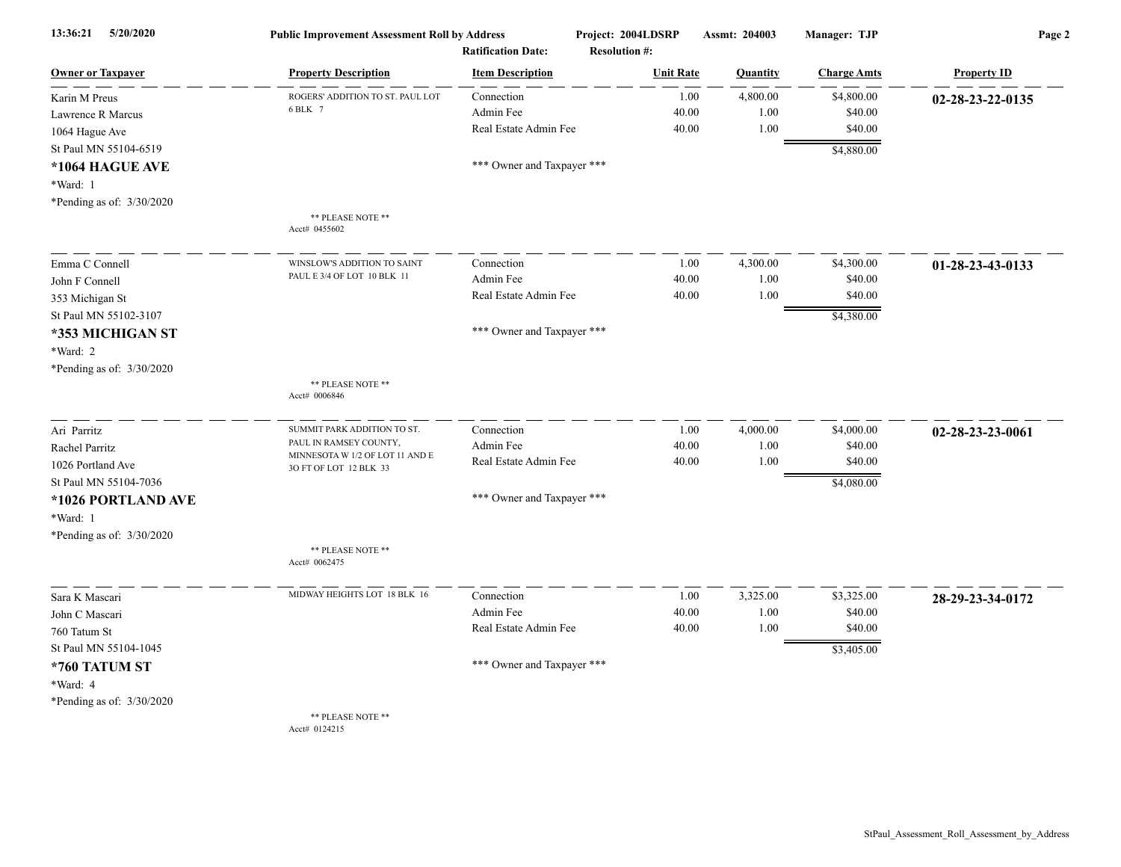| 13:36:21<br>5/20/2020       | <b>Public Improvement Assessment Roll by Address</b><br><b>Ratification Date:</b> |                            | Project: 2004LDSRP<br><b>Resolution #:</b> | Assmt: 204003 | Manager: TJP       | Page 2             |  |
|-----------------------------|-----------------------------------------------------------------------------------|----------------------------|--------------------------------------------|---------------|--------------------|--------------------|--|
| <b>Owner or Taxpayer</b>    | <b>Property Description</b>                                                       | <b>Item Description</b>    | <b>Unit Rate</b>                           | Quantity      | <b>Charge Amts</b> | <b>Property ID</b> |  |
| Karin M Preus               | ROGERS' ADDITION TO ST. PAUL LOT                                                  | Connection                 | 1.00                                       | 4,800.00      | \$4,800.00         | 02-28-23-22-0135   |  |
| Lawrence R Marcus           | 6 BLK 7                                                                           | Admin Fee                  | 40.00                                      | 1.00          | \$40.00            |                    |  |
| 1064 Hague Ave              |                                                                                   | Real Estate Admin Fee      | 40.00                                      | 1.00          | \$40.00            |                    |  |
| St Paul MN 55104-6519       |                                                                                   |                            |                                            |               | \$4,880.00         |                    |  |
| *1064 HAGUE AVE             |                                                                                   | *** Owner and Taxpayer *** |                                            |               |                    |                    |  |
| *Ward: 1                    |                                                                                   |                            |                                            |               |                    |                    |  |
| *Pending as of: 3/30/2020   |                                                                                   |                            |                                            |               |                    |                    |  |
|                             | ** PLEASE NOTE **<br>Acct# 0455602                                                |                            |                                            |               |                    |                    |  |
| Emma C Connell              | WINSLOW'S ADDITION TO SAINT                                                       | Connection                 | 1.00                                       | 4,300.00      | \$4,300.00         | 01-28-23-43-0133   |  |
| John F Connell              | PAUL E 3/4 OF LOT 10 BLK 11                                                       | Admin Fee                  | 40.00                                      | 1.00          | \$40.00            |                    |  |
| 353 Michigan St             |                                                                                   | Real Estate Admin Fee      | 40.00                                      | 1.00          | \$40.00            |                    |  |
| St Paul MN 55102-3107       |                                                                                   |                            |                                            |               | \$4,380.00         |                    |  |
| *353 MICHIGAN ST            |                                                                                   | *** Owner and Taxpayer *** |                                            |               |                    |                    |  |
| *Ward: 2                    |                                                                                   |                            |                                            |               |                    |                    |  |
| *Pending as of: $3/30/2020$ |                                                                                   |                            |                                            |               |                    |                    |  |
|                             | ** PLEASE NOTE **<br>Acct# 0006846                                                |                            |                                            |               |                    |                    |  |
| Ari Parritz                 | SUMMIT PARK ADDITION TO ST.                                                       | Connection                 | 1.00                                       | 4,000.00      | \$4,000.00         | 02-28-23-23-0061   |  |
| Rachel Parritz              | PAUL IN RAMSEY COUNTY,                                                            | Admin Fee                  | 40.00                                      | 1.00          | \$40.00            |                    |  |
| 1026 Portland Ave           | MINNESOTA W 1/2 OF LOT 11 AND E<br>3O FT OF LOT 12 BLK 33                         | Real Estate Admin Fee      | 40.00                                      | 1.00          | \$40.00            |                    |  |
| St Paul MN 55104-7036       |                                                                                   |                            |                                            |               | \$4,080.00         |                    |  |
| *1026 PORTLAND AVE          |                                                                                   | *** Owner and Taxpayer *** |                                            |               |                    |                    |  |
| *Ward: 1                    |                                                                                   |                            |                                            |               |                    |                    |  |
| *Pending as of: $3/30/2020$ |                                                                                   |                            |                                            |               |                    |                    |  |
|                             | ** PLEASE NOTE **<br>Acct# 0062475                                                |                            |                                            |               |                    |                    |  |
| Sara K Mascari              | MIDWAY HEIGHTS LOT 18 BLK 16                                                      | Connection                 | 1.00                                       | 3,325.00      | \$3,325.00         | 28-29-23-34-0172   |  |
| John C Mascari              |                                                                                   | Admin Fee                  | 40.00                                      | 1.00          | \$40.00            |                    |  |
| 760 Tatum St                |                                                                                   | Real Estate Admin Fee      | 40.00                                      | 1.00          | \$40.00            |                    |  |
| St Paul MN 55104-1045       |                                                                                   |                            |                                            |               | \$3,405.00         |                    |  |
| *760 TATUM ST               |                                                                                   | *** Owner and Taxpayer *** |                                            |               |                    |                    |  |
| *Ward: 4                    |                                                                                   |                            |                                            |               |                    |                    |  |
| *Pending as of: 3/30/2020   |                                                                                   |                            |                                            |               |                    |                    |  |
|                             | ** PLEASE NOTE **<br>Acct# 0124215                                                |                            |                                            |               |                    |                    |  |